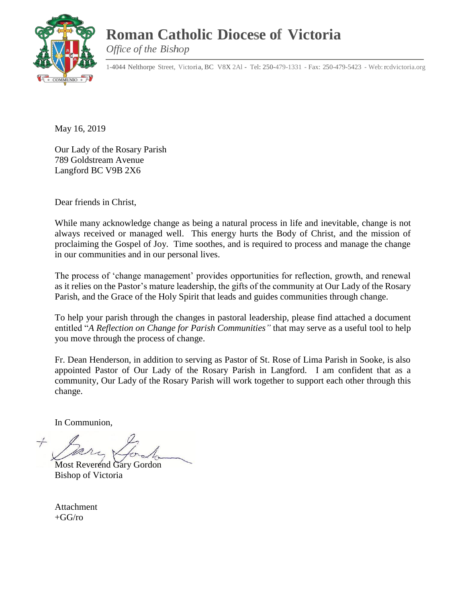## **Roman Catholic Diocese of Victoria**



*Office of the Bishop*

1-4044 Nelthorpe Street, Victoria, BC V8X 2Al - Tel: 250-479-1331 - Fax: 250-479-5423 - Web: rcdvictoria.org

May 16, 2019

Our Lady of the Rosary Parish 789 Goldstream Avenue Langford BC V9B 2X6

Dear friends in Christ,

While many acknowledge change as being a natural process in life and inevitable, change is not always received or managed well. This energy hurts the Body of Christ, and the mission of proclaiming the Gospel of Joy. Time soothes, and is required to process and manage the change in our communities and in our personal lives.

The process of 'change management' provides opportunities for reflection, growth, and renewal as it relies on the Pastor's mature leadership, the gifts of the community at Our Lady of the Rosary Parish, and the Grace of the Holy Spirit that leads and guides communities through change.

To help your parish through the changes in pastoral leadership, please find attached a document entitled "*A Reflection on Change for Parish Communities"* that may serve as a useful tool to help you move through the process of change.

Fr. Dean Henderson, in addition to serving as Pastor of St. Rose of Lima Parish in Sooke, is also appointed Pastor of Our Lady of the Rosary Parish in Langford. I am confident that as a community, Our Lady of the Rosary Parish will work together to support each other through this change.

In Communion,

Most Reverend Gary Gordon Bishop of Victoria

Attachment  $+GG/ro$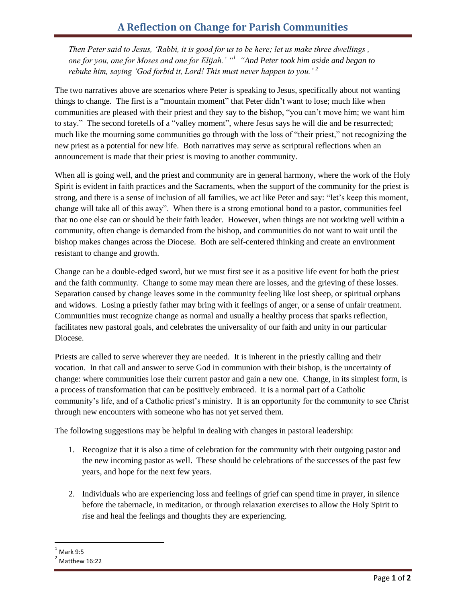*Then Peter said to Jesus, 'Rabbi, it is good for us to be here; let us make three dwellings , one for you, one for Moses and one for Elijah.' "<sup>1</sup> "And Peter took him aside and began to rebuke him, saying 'God forbid it, Lord! This must never happen to you.' <sup>2</sup>*

The two narratives above are scenarios where Peter is speaking to Jesus, specifically about not wanting things to change. The first is a "mountain moment" that Peter didn't want to lose; much like when communities are pleased with their priest and they say to the bishop, "you can't move him; we want him to stay." The second foretells of a "valley moment", where Jesus says he will die and be resurrected; much like the mourning some communities go through with the loss of "their priest," not recognizing the new priest as a potential for new life. Both narratives may serve as scriptural reflections when an announcement is made that their priest is moving to another community.

When all is going well, and the priest and community are in general harmony, where the work of the Holy Spirit is evident in faith practices and the Sacraments, when the support of the community for the priest is strong, and there is a sense of inclusion of all families, we act like Peter and say: "let's keep this moment, change will take all of this away". When there is a strong emotional bond to a pastor, communities feel that no one else can or should be their faith leader. However, when things are not working well within a community, often change is demanded from the bishop, and communities do not want to wait until the bishop makes changes across the Diocese. Both are self-centered thinking and create an environment resistant to change and growth.

Change can be a double-edged sword, but we must first see it as a positive life event for both the priest and the faith community. Change to some may mean there are losses, and the grieving of these losses. Separation caused by change leaves some in the community feeling like lost sheep, or spiritual orphans and widows. Losing a priestly father may bring with it feelings of anger, or a sense of unfair treatment. Communities must recognize change as normal and usually a healthy process that sparks reflection, facilitates new pastoral goals, and celebrates the universality of our faith and unity in our particular Diocese.

Priests are called to serve wherever they are needed. It is inherent in the priestly calling and their vocation. In that call and answer to serve God in communion with their bishop, is the uncertainty of change: where communities lose their current pastor and gain a new one. Change, in its simplest form, is a process of transformation that can be positively embraced. It is a normal part of a Catholic community's life, and of a Catholic priest's ministry. It is an opportunity for the community to see Christ through new encounters with someone who has not yet served them.

The following suggestions may be helpful in dealing with changes in pastoral leadership:

- 1. Recognize that it is also a time of celebration for the community with their outgoing pastor and the new incoming pastor as well. These should be celebrations of the successes of the past few years, and hope for the next few years.
- 2. Individuals who are experiencing loss and feelings of grief can spend time in prayer, in silence before the tabernacle, in meditation, or through relaxation exercises to allow the Holy Spirit to rise and heal the feelings and thoughts they are experiencing.

 $\overline{a}$ 

Mark 9:5

Matthew 16:22